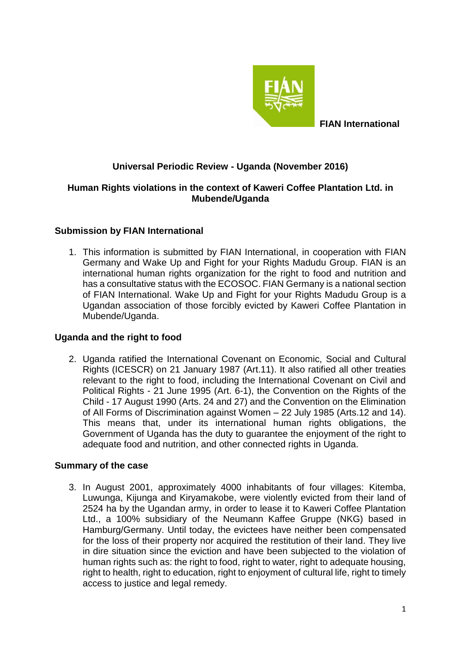

 **FIAN International**

# **Universal Periodic Review - Uganda (November 2016)**

### **Human Rights violations in the context of Kaweri Coffee Plantation Ltd. in Mubende/Uganda**

# **Submission by FIAN International**

1. This information is submitted by FIAN International, in cooperation with FIAN Germany and Wake Up and Fight for your Rights Madudu Group. FIAN is an international human rights organization for the right to food and nutrition and has a consultative status with the ECOSOC. FIAN Germany is a national section of FIAN International. Wake Up and Fight for your Rights Madudu Group is a Ugandan association of those forcibly evicted by Kaweri Coffee Plantation in Mubende/Uganda.

# **Uganda and the right to food**

2. Uganda ratified the International Covenant on Economic, Social and Cultural Rights (ICESCR) on 21 January 1987 (Art.11). It also ratified all other treaties relevant to the right to food, including the International Covenant on Civil and Political Rights - 21 June 1995 (Art. 6-1), the Convention on the Rights of the Child - 17 August 1990 (Arts. 24 and 27) and the Convention on the Elimination of All Forms of Discrimination against Women – 22 July 1985 (Arts.12 and 14). This means that, under its international human rights obligations, the Government of Uganda has the duty to guarantee the enjoyment of the right to adequate food and nutrition, and other connected rights in Uganda.

#### **Summary of the case**

3. In August 2001, approximately 4000 inhabitants of four villages: Kitemba, Luwunga, Kijunga and Kiryamakobe, were violently evicted from their land of 2524 ha by the Ugandan army, in order to lease it to Kaweri Coffee Plantation Ltd., a 100% subsidiary of the Neumann Kaffee Gruppe (NKG) based in Hamburg/Germany. Until today, the evictees have neither been compensated for the loss of their property nor acquired the restitution of their land. They live in dire situation since the eviction and have been subjected to the violation of human rights such as: the right to food, right to water, right to adequate housing, right to health, right to education, right to enjoyment of cultural life, right to timely access to justice and legal remedy.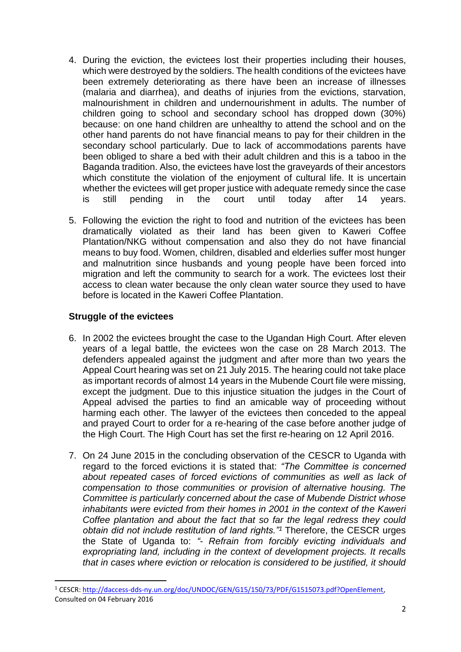- 4. During the eviction, the evictees lost their properties including their houses, which were destroyed by the soldiers. The health conditions of the evictees have been extremely deteriorating as there have been an increase of illnesses (malaria and diarrhea), and deaths of injuries from the evictions, starvation, malnourishment in children and undernourishment in adults. The number of children going to school and secondary school has dropped down (30%) because: on one hand children are unhealthy to attend the school and on the other hand parents do not have financial means to pay for their children in the secondary school particularly. Due to lack of accommodations parents have been obliged to share a bed with their adult children and this is a taboo in the Baganda tradition. Also, the evictees have lost the graveyards of their ancestors which constitute the violation of the enjoyment of cultural life. It is uncertain whether the evictees will get proper justice with adequate remedy since the case is still pending in the court until today after 14 years.
- 5. Following the eviction the right to food and nutrition of the evictees has been dramatically violated as their land has been given to Kaweri Coffee Plantation/NKG without compensation and also they do not have financial means to buy food. Women, children, disabled and elderlies suffer most hunger and malnutrition since husbands and young people have been forced into migration and left the community to search for a work. The evictees lost their access to clean water because the only clean water source they used to have before is located in the Kaweri Coffee Plantation.

# **Struggle of the evictees**

1

- 6. In 2002 the evictees brought the case to the Ugandan High Court. After eleven years of a legal battle, the evictees won the case on 28 March 2013. The defenders appealed against the judgment and after more than two years the Appeal Court hearing was set on 21 July 2015. The hearing could not take place as important records of almost 14 years in the Mubende Court file were missing, except the judgment. Due to this injustice situation the judges in the Court of Appeal advised the parties to find an amicable way of proceeding without harming each other. The lawyer of the evictees then conceded to the appeal and prayed Court to order for a re-hearing of the case before another judge of the High Court. The High Court has set the first re-hearing on 12 April 2016.
- 7. On 24 June 2015 in the concluding observation of the CESCR to Uganda with regard to the forced evictions it is stated that: *"The Committee is concerned about repeated cases of forced evictions of communities as well as lack of compensation to those communities or provision of alternative housing. The Committee is particularly concerned about the case of Mubende District whose inhabitants were evicted from their homes in 2001 in the context of the Kaweri Coffee plantation and about the fact that so far the legal redress they could obtain did not include restitution of land rights."<sup>1</sup>* Therefore, the CESCR urges the State of Uganda to: *"- Refrain from forcibly evicting individuals and expropriating land, including in the context of development projects. It recalls that in cases where eviction or relocation is considered to be justified, it should*

<sup>1</sup> CESCR: [http://daccess-dds-ny.un.org/doc/UNDOC/GEN/G15/150/73/PDF/G1515073.pdf?OpenElement,](http://daccess-dds-ny.un.org/doc/UNDOC/GEN/G15/150/73/PDF/G1515073.pdf?OpenElement)  Consulted on 04 February 2016